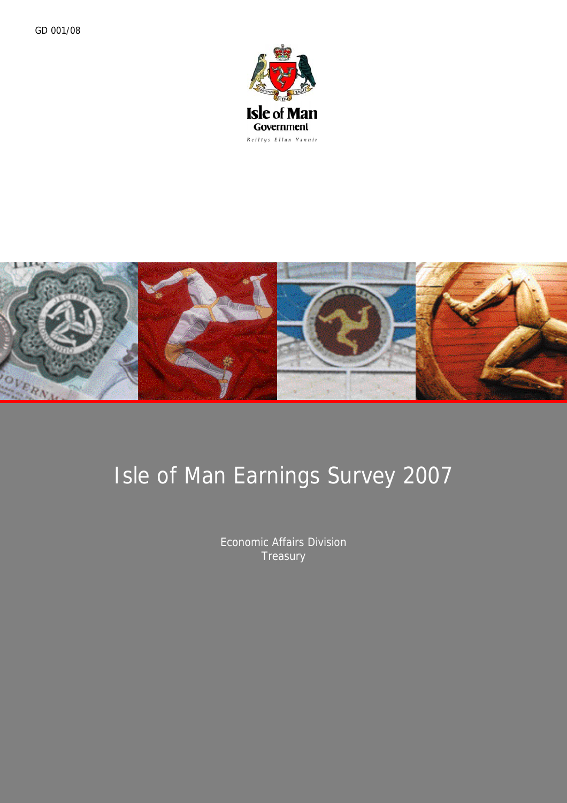



# Isle of Man Earnings Survey 2007

Economic Affairs Division **Treasury**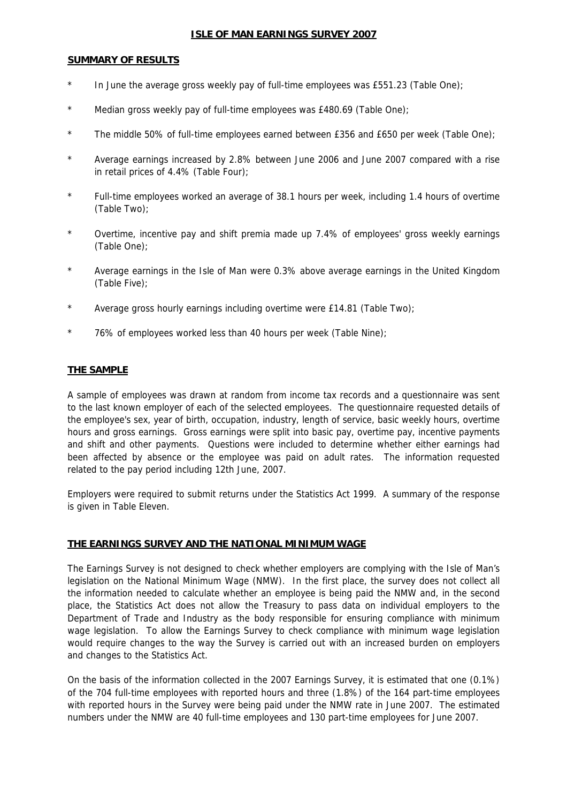#### <sup>U</sup>**ISLE OF MAN EARNINGS SURVEY 2007**

#### **SUMMARY OF RESULTS**

- \* In June the average gross weekly pay of full-time employees was £551.23 (Table One);
- \* Median gross weekly pay of full-time employees was £480.69 (Table One);
- \* The middle 50% of full-time employees earned between £356 and £650 per week (Table One);
- Average earnings increased by 2.8% between June 2006 and June 2007 compared with a rise in retail prices of 4.4% (Table Four);
- Full-time employees worked an average of 38.1 hours per week, including 1.4 hours of overtime (Table Two);
- \* Overtime, incentive pay and shift premia made up 7.4% of employees' gross weekly earnings (Table One);
- \* Average earnings in the Isle of Man were 0.3% above average earnings in the United Kingdom (Table Five);
- \* Average gross hourly earnings including overtime were £14.81 (Table Two);
- \* 76% of employees worked less than 40 hours per week (Table Nine);

#### **THE SAMPLE**

A sample of employees was drawn at random from income tax records and a questionnaire was sent to the last known employer of each of the selected employees. The questionnaire requested details of the employee's sex, year of birth, occupation, industry, length of service, basic weekly hours, overtime hours and gross earnings. Gross earnings were split into basic pay, overtime pay, incentive payments and shift and other payments. Questions were included to determine whether either earnings had been affected by absence or the employee was paid on adult rates. The information requested related to the pay period including 12th June, 2007.

Employers were required to submit returns under the Statistics Act 1999. A summary of the response is given in Table Eleven.

#### <sup>U</sup>**THE EARNINGS SURVEY AND THE NATIONAL MINIMUM WAGE**

The Earnings Survey is not designed to check whether employers are complying with the Isle of Man's legislation on the National Minimum Wage (NMW). In the first place, the survey does not collect all the information needed to calculate whether an employee is being paid the NMW and, in the second place, the Statistics Act does not allow the Treasury to pass data on individual employers to the Department of Trade and Industry as the body responsible for ensuring compliance with minimum wage legislation. To allow the Earnings Survey to check compliance with minimum wage legislation would require changes to the way the Survey is carried out with an increased burden on employers and changes to the Statistics Act.

On the basis of the information collected in the 2007 Earnings Survey, it is estimated that one (0.1%) of the 704 full-time employees with reported hours and three (1.8%) of the 164 part-time employees with reported hours in the Survey were being paid under the NMW rate in June 2007. The estimated numbers under the NMW are 40 full-time employees and 130 part-time employees for June 2007.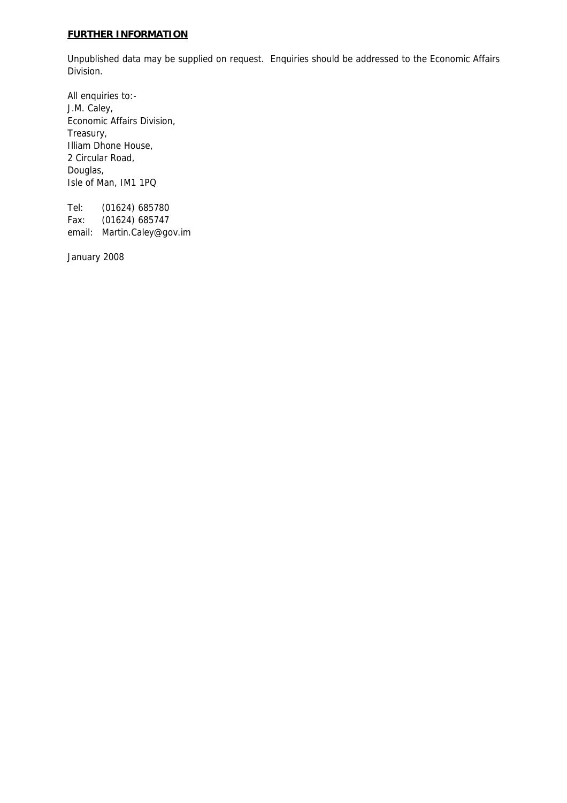### <sup>U</sup>**FURTHER INFORMATION**

Unpublished data may be supplied on request. Enquiries should be addressed to the Economic Affairs Division.

All enquiries to:- J.M. Caley, Economic Affairs Division, Treasury, Illiam Dhone House, 2 Circular Road, Douglas, Isle of Man, IM1 1PQ

Tel: (01624) 685780 Fax: (01624) 685747 email: Martin.Caley@gov.im

January 2008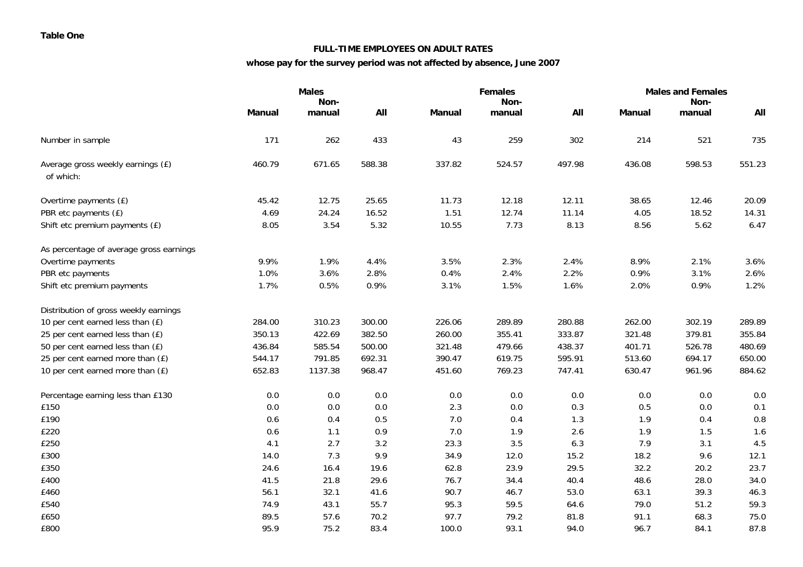#### **FULL-TIME EMPLOYEES ON ADULT RATES**

### **whose pay for the survey period was not affected by absence, June 2007**

|                                                |               | <b>Males</b>   |         |               | <b>Females</b> |        | <b>Males and Females</b> |                |        |  |
|------------------------------------------------|---------------|----------------|---------|---------------|----------------|--------|--------------------------|----------------|--------|--|
|                                                | <b>Manual</b> | Non-<br>manual | All     | <b>Manual</b> | Non-<br>manual | All    | <b>Manual</b>            | Non-<br>manual | All    |  |
|                                                |               |                |         |               |                |        |                          |                |        |  |
| Number in sample                               | 171           | 262            | 433     | 43            | 259            | 302    | 214                      | 521            | 735    |  |
| Average gross weekly earnings (£)<br>of which: | 460.79        | 671.65         | 588.38  | 337.82        | 524.57         | 497.98 | 436.08                   | 598.53         | 551.23 |  |
| Overtime payments (£)                          | 45.42         | 12.75          | 25.65   | 11.73         | 12.18          | 12.11  | 38.65                    | 12.46          | 20.09  |  |
| PBR etc payments (£)                           | 4.69          | 24.24          | 16.52   | 1.51          | 12.74          | 11.14  | 4.05                     | 18.52          | 14.31  |  |
| Shift etc premium payments (£)                 | 8.05          | 3.54           | 5.32    | 10.55         | 7.73           | 8.13   | 8.56                     | 5.62           | 6.47   |  |
| As percentage of average gross earnings        |               |                |         |               |                |        |                          |                |        |  |
| Overtime payments                              | 9.9%          | 1.9%           | 4.4%    | 3.5%          | 2.3%           | 2.4%   | 8.9%                     | 2.1%           | 3.6%   |  |
| PBR etc payments                               | 1.0%          | 3.6%           | 2.8%    | 0.4%          | 2.4%           | 2.2%   | 0.9%                     | 3.1%           | 2.6%   |  |
| Shift etc premium payments                     | 1.7%          | 0.5%           | 0.9%    | 3.1%          | 1.5%           | 1.6%   | 2.0%                     | 0.9%           | 1.2%   |  |
| Distribution of gross weekly earnings          |               |                |         |               |                |        |                          |                |        |  |
| 10 per cent earned less than (£)               | 284.00        | 310.23         | 300.00  | 226.06        | 289.89         | 280.88 | 262.00                   | 302.19         | 289.89 |  |
| 25 per cent earned less than (£)               | 350.13        | 422.69         | 382.50  | 260.00        | 355.41         | 333.87 | 321.48                   | 379.81         | 355.84 |  |
| 50 per cent earned less than (£)               | 436.84        | 585.54         | 500.00  | 321.48        | 479.66         | 438.37 | 401.71                   | 526.78         | 480.69 |  |
| 25 per cent earned more than (£)               | 544.17        | 791.85         | 692.31  | 390.47        | 619.75         | 595.91 | 513.60                   | 694.17         | 650.00 |  |
| 10 per cent earned more than (£)               | 652.83        | 1137.38        | 968.47  | 451.60        | 769.23         | 747.41 | 630.47                   | 961.96         | 884.62 |  |
| Percentage earning less than £130              | 0.0           | 0.0            | 0.0     | $0.0\,$       | 0.0            | 0.0    | $0.0\,$                  | 0.0            | 0.0    |  |
| £150                                           | 0.0           | 0.0            | $0.0\,$ | 2.3           | 0.0            | 0.3    | 0.5                      | 0.0            | 0.1    |  |
| £190                                           | 0.6           | 0.4            | 0.5     | 7.0           | 0.4            | 1.3    | 1.9                      | 0.4            | 0.8    |  |
| £220                                           | 0.6           | 1.1            | 0.9     | 7.0           | 1.9            | 2.6    | 1.9                      | 1.5            | 1.6    |  |
| £250                                           | 4.1           | 2.7            | 3.2     | 23.3          | 3.5            | 6.3    | 7.9                      | 3.1            | 4.5    |  |
| £300                                           | 14.0          | 7.3            | 9.9     | 34.9          | 12.0           | 15.2   | 18.2                     | 9.6            | 12.1   |  |
| £350                                           | 24.6          | 16.4           | 19.6    | 62.8          | 23.9           | 29.5   | 32.2                     | 20.2           | 23.7   |  |
| £400                                           | 41.5          | 21.8           | 29.6    | 76.7          | 34.4           | 40.4   | 48.6                     | 28.0           | 34.0   |  |
| £460                                           | 56.1          | 32.1           | 41.6    | 90.7          | 46.7           | 53.0   | 63.1                     | 39.3           | 46.3   |  |
| £540                                           | 74.9          | 43.1           | 55.7    | 95.3          | 59.5           | 64.6   | 79.0                     | 51.2           | 59.3   |  |
| £650                                           | 89.5          | 57.6           | 70.2    | 97.7          | 79.2           | 81.8   | 91.1                     | 68.3           | 75.0   |  |
| £800                                           | 95.9          | 75.2           | 83.4    | 100.0         | 93.1           | 94.0   | 96.7                     | 84.1           | 87.8   |  |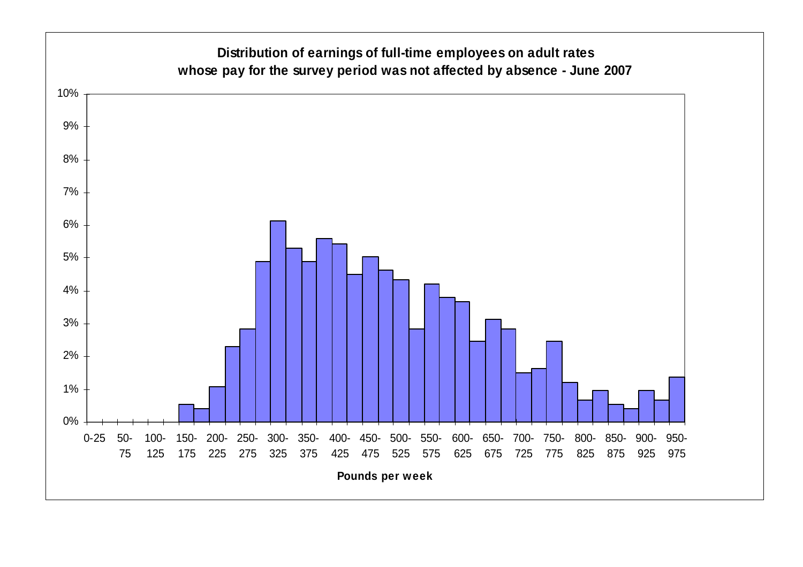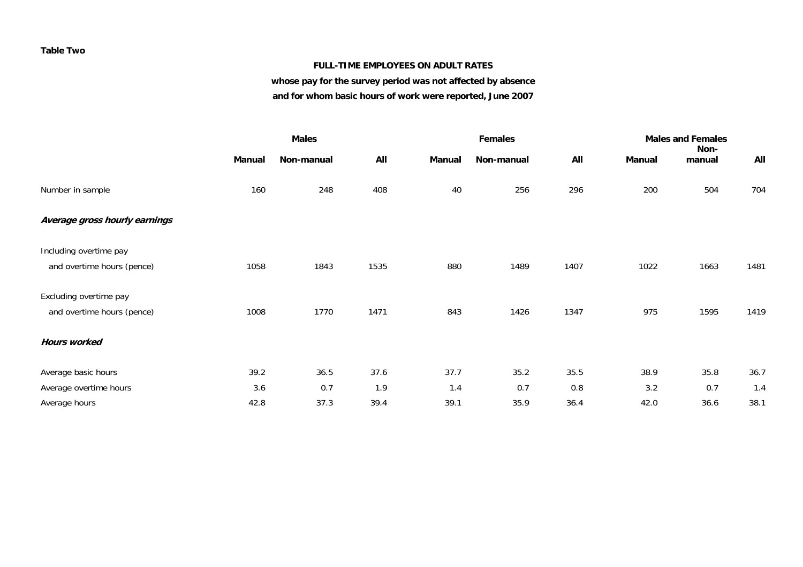#### **Table Two**

#### **FULL-TIME EMPLOYEES ON ADULT RATES**

# **whose pay for the survey period was not affected by absence**

**and for whom basic hours of work were reported, June 2007** 

|                               |        | <b>Males</b> |      |        |            |      |        | <b>Males and Females</b><br>Non- |      |  |
|-------------------------------|--------|--------------|------|--------|------------|------|--------|----------------------------------|------|--|
|                               | Manual | Non-manual   | All  | Manual | Non-manual | All  | Manual | manual                           | All  |  |
| Number in sample              | 160    | 248          | 408  | 40     | 256        | 296  | 200    | 504                              | 704  |  |
| Average gross hourly earnings |        |              |      |        |            |      |        |                                  |      |  |
| Including overtime pay        |        |              |      |        |            |      |        |                                  |      |  |
| and overtime hours (pence)    | 1058   | 1843         | 1535 | 880    | 1489       | 1407 | 1022   | 1663                             | 1481 |  |
| Excluding overtime pay        |        |              |      |        |            |      |        |                                  |      |  |
| and overtime hours (pence)    | 1008   | 1770         | 1471 | 843    | 1426       | 1347 | 975    | 1595                             | 1419 |  |
| <b>Hours worked</b>           |        |              |      |        |            |      |        |                                  |      |  |
| Average basic hours           | 39.2   | 36.5         | 37.6 | 37.7   | 35.2       | 35.5 | 38.9   | 35.8                             | 36.7 |  |
| Average overtime hours        | 3.6    | 0.7          | 1.9  | 1.4    | 0.7        | 0.8  | 3.2    | 0.7                              | 1.4  |  |
| Average hours                 | 42.8   | 37.3         | 39.4 | 39.1   | 35.9       | 36.4 | 42.0   | 36.6                             | 38.1 |  |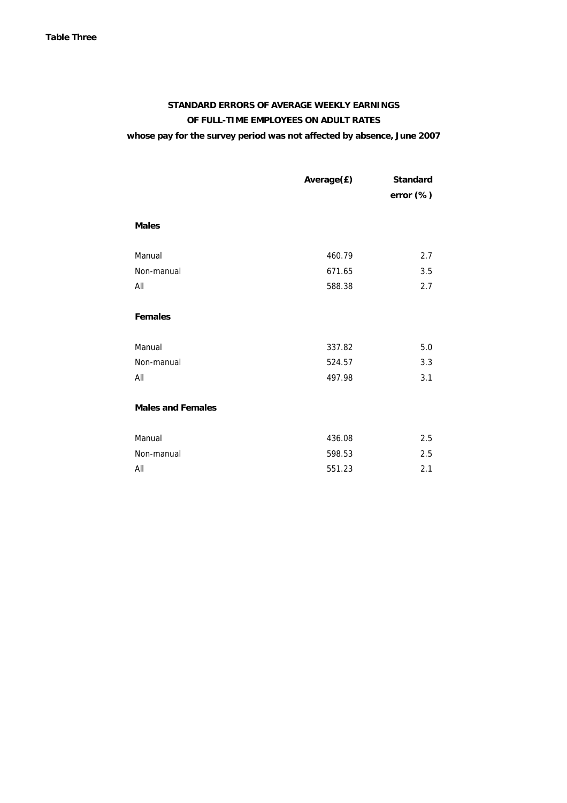# **STANDARD ERRORS OF AVERAGE WEEKLY EARNINGS OF FULL-TIME EMPLOYEES ON ADULT RATES whose pay for the survey period was not affected by absence, June 2007**

|                          | Average(£) | <b>Standard</b><br>error (%) |
|--------------------------|------------|------------------------------|
| <b>Males</b>             |            |                              |
| Manual                   | 460.79     | 2.7                          |
| Non-manual               | 671.65     | 3.5                          |
| All                      | 588.38     | 2.7                          |
| <b>Females</b>           |            |                              |
| Manual                   | 337.82     | 5.0                          |
| Non-manual               | 524.57     | 3.3                          |
| All                      | 497.98     | 3.1                          |
| <b>Males and Females</b> |            |                              |
| Manual                   | 436.08     | 2.5                          |
| Non-manual               | 598.53     | 2.5                          |
| All                      | 551.23     | 2.1                          |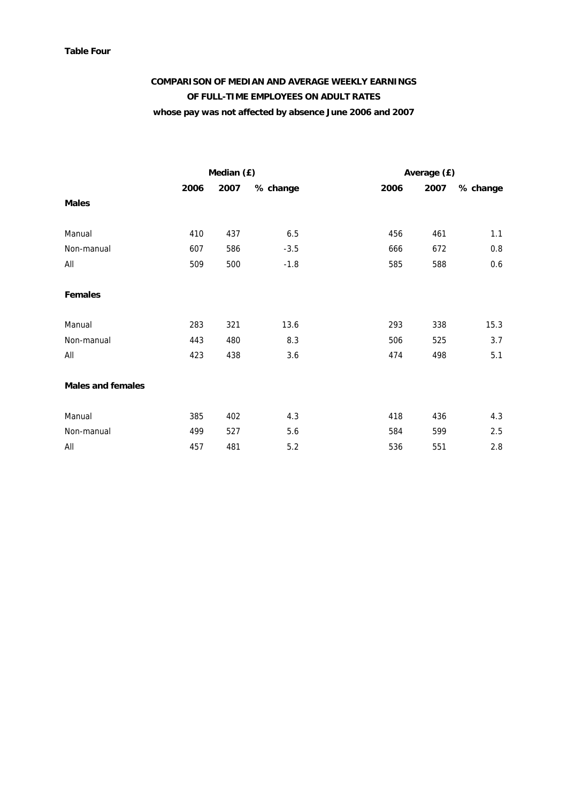#### **Table Four**

# **COMPARISON OF MEDIAN AND AVERAGE WEEKLY EARNINGS OF FULL-TIME EMPLOYEES ON ADULT RATES whose pay was not affected by absence June 2006 and 2007**

|                          |      | Median (£) |          | Average (£) |      |          |  |  |  |
|--------------------------|------|------------|----------|-------------|------|----------|--|--|--|
|                          | 2006 | 2007       | % change | 2006        | 2007 | % change |  |  |  |
| <b>Males</b>             |      |            |          |             |      |          |  |  |  |
| Manual                   | 410  | 437        | $6.5\,$  | 456         | 461  | 1.1      |  |  |  |
| Non-manual               | 607  | 586        | $-3.5$   | 666         | 672  | $0.8\,$  |  |  |  |
| All                      | 509  | 500        | $-1.8$   | 585         | 588  | 0.6      |  |  |  |
| <b>Females</b>           |      |            |          |             |      |          |  |  |  |
| Manual                   | 283  | 321        | 13.6     | 293         | 338  | 15.3     |  |  |  |
| Non-manual               | 443  | 480        | 8.3      | 506         | 525  | 3.7      |  |  |  |
| All                      | 423  | 438        | 3.6      | 474         | 498  | 5.1      |  |  |  |
| <b>Males and females</b> |      |            |          |             |      |          |  |  |  |
| Manual                   | 385  | 402        | 4.3      | 418         | 436  | 4.3      |  |  |  |
| Non-manual               | 499  | 527        | 5.6      | 584         | 599  | 2.5      |  |  |  |
| All                      | 457  | 481        | 5.2      | 536         | 551  | 2.8      |  |  |  |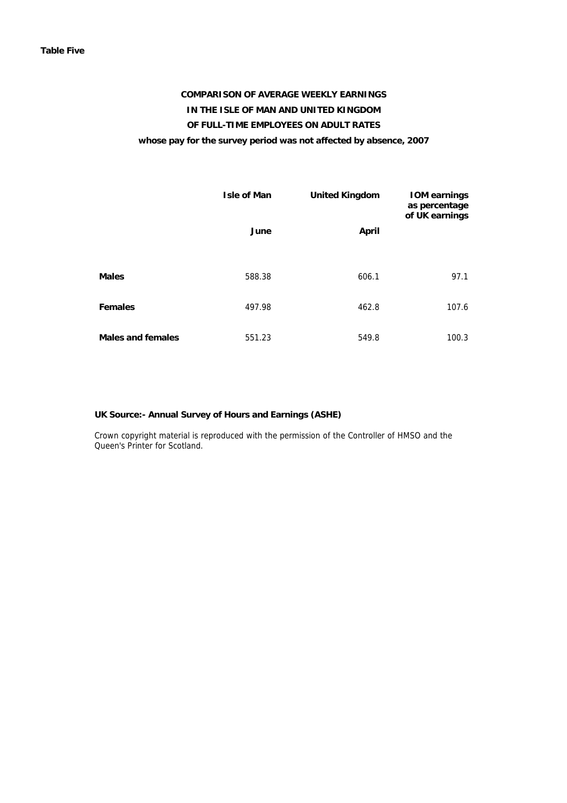# **COMPARISON OF AVERAGE WEEKLY EARNINGS IN THE ISLE OF MAN AND UNITED KINGDOM OF FULL-TIME EMPLOYEES ON ADULT RATES whose pay for the survey period was not affected by absence, 2007**

|                          | <b>Isle of Man</b> | <b>United Kingdom</b> | <b>IOM earnings</b><br>as percentage<br>of UK earnings |
|--------------------------|--------------------|-----------------------|--------------------------------------------------------|
|                          | June               | <b>April</b>          |                                                        |
| <b>Males</b>             | 588.38             | 606.1                 | 97.1                                                   |
| <b>Females</b>           | 497.98             | 462.8                 | 107.6                                                  |
| <b>Males and females</b> | 551.23             | 549.8                 | 100.3                                                  |

#### **UK Source:- Annual Survey of Hours and Earnings (ASHE)**

 Crown copyright material is reproduced with the permission of the Controller of HMSO and the Queen's Printer for Scotland.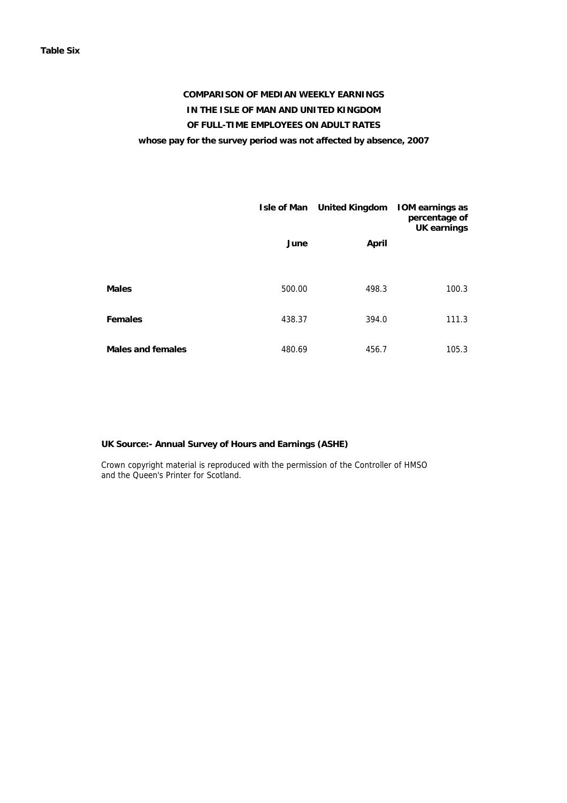# **COMPARISON OF MEDIAN WEEKLY EARNINGS IN THE ISLE OF MAN AND UNITED KINGDOM OF FULL-TIME EMPLOYEES ON ADULT RATES whose pay for the survey period was not affected by absence, 2007**

|                          |        | Isle of Man United Kingdom | <b>IOM earnings as</b><br>percentage of<br><b>UK earnings</b> |
|--------------------------|--------|----------------------------|---------------------------------------------------------------|
|                          | June   | April                      |                                                               |
| <b>Males</b>             | 500.00 | 498.3                      | 100.3                                                         |
| <b>Females</b>           | 438.37 | 394.0                      | 111.3                                                         |
| <b>Males and females</b> | 480.69 | 456.7                      | 105.3                                                         |

#### **UK Source:- Annual Survey of Hours and Earnings (ASHE)**

Crown copyright material is reproduced with the permission of the Controller of HMSO and the Queen's Printer for Scotland.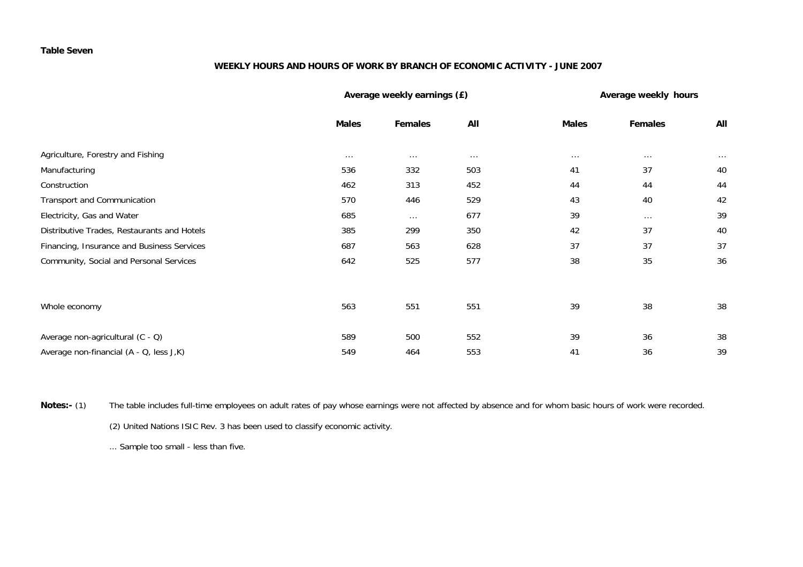#### **Table Seven**

#### **WEEKLY HOURS AND HOURS OF WORK BY BRANCH OF ECONOMIC ACTIVITY - JUNE 2007**

|                                             |              | Average weekly earnings (£) | Average weekly hours |              |          |          |
|---------------------------------------------|--------------|-----------------------------|----------------------|--------------|----------|----------|
|                                             | <b>Males</b> | <b>Females</b>              | All                  | <b>Males</b> | Females  | All      |
| Agriculture, Forestry and Fishing           | $\cdots$     | $\cdots$                    | $\cdots$             | $\cdots$     | $\cdots$ | $\cdots$ |
| Manufacturing                               | 536          | 332                         | 503                  | 41           | 37       | 40       |
| Construction                                | 462          | 313                         | 452                  | 44           | 44       | 44       |
| Transport and Communication                 | 570          | 446                         | 529                  | 43           | 40       | 42       |
| Electricity, Gas and Water                  | 685          | $\cdots$                    | 677                  | 39           | $\cdots$ | 39       |
| Distributive Trades, Restaurants and Hotels | 385          | 299                         | 350                  | 42           | 37       | 40       |
| Financing, Insurance and Business Services  | 687          | 563                         | 628                  | 37           | 37       | 37       |
| Community, Social and Personal Services     | 642          | 525                         | 577                  | 38           | 35       | 36       |
|                                             |              |                             |                      |              |          |          |
| Whole economy                               | 563          | 551                         | 551                  | 39           | 38       | 38       |
| Average non-agricultural (C - Q)            | 589          | 500                         | 552                  | 39           | 36       | 38       |
| Average non-financial (A - Q, less J,K)     | 549          | 464                         | 553                  | 41           | 36       | 39       |

**Notes:-** (1) The table includes full-time employees on adult rates of pay whose earnings were not affected by absence and for whom basic hours of work were recorded. (2) United Nations ISIC Rev. 3 has been used to classify economic activity.

... Sample too small - less than five.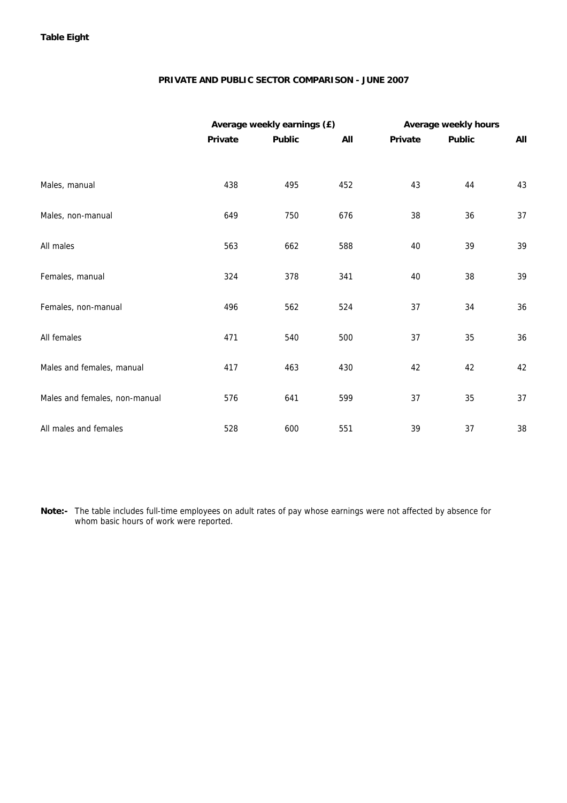#### **PRIVATE AND PUBLIC SECTOR COMPARISON - JUNE 2007**

|                               |         | Average weekly earnings (£) |     | Average weekly hours |               |     |  |  |
|-------------------------------|---------|-----------------------------|-----|----------------------|---------------|-----|--|--|
|                               | Private | <b>Public</b>               | All | Private              | <b>Public</b> | All |  |  |
|                               |         |                             |     |                      |               |     |  |  |
| Males, manual                 | 438     | 495                         | 452 | 43                   | 44            | 43  |  |  |
| Males, non-manual             | 649     | 750                         | 676 | 38                   | 36            | 37  |  |  |
| All males                     | 563     | 662                         | 588 | 40                   | 39            | 39  |  |  |
| Females, manual               | 324     | 378                         | 341 | 40                   | 38            | 39  |  |  |
| Females, non-manual           | 496     | 562                         | 524 | 37                   | 34            | 36  |  |  |
| All females                   | 471     | 540                         | 500 | 37                   | 35            | 36  |  |  |
| Males and females, manual     | 417     | 463                         | 430 | 42                   | 42            | 42  |  |  |
| Males and females, non-manual | 576     | 641                         | 599 | 37                   | 35            | 37  |  |  |
| All males and females         | 528     | 600                         | 551 | 39                   | 37            | 38  |  |  |

**Note:-** The table includes full-time employees on adult rates of pay whose earnings were not affected by absence for whom basic hours of work were reported.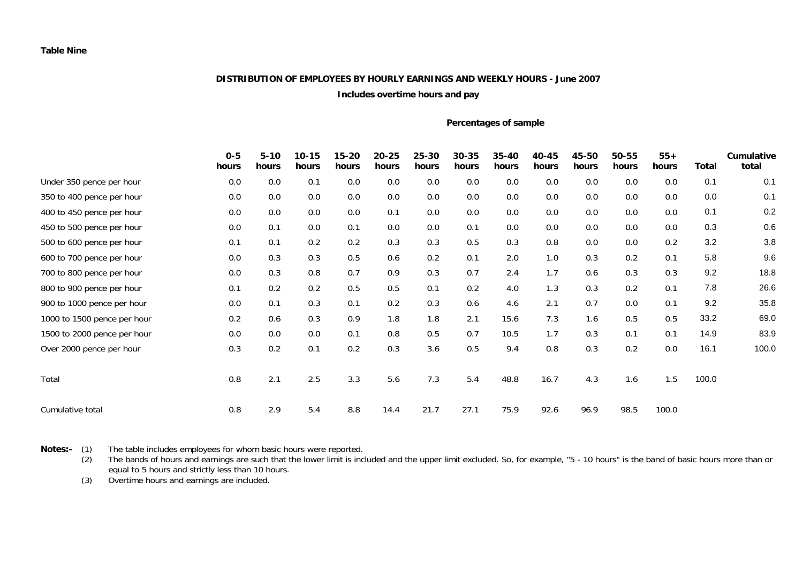### **DISTRIBUTION OF EMPLOYEES BY HOURLY EARNINGS AND WEEKLY HOURS - June 2007**

#### **Includes overtime hours and pay**

#### **Percentages of sample**

|                             | $0 - 5$<br>hours | $5 - 10$<br>hours | $10 - 15$<br>hours | $15 - 20$<br>hours | $20 - 25$<br>hours | 25-30<br>hours | $30 - 35$<br>hours | $35 - 40$<br>hours | 40-45<br>hours | 45-50<br>hours | 50-55<br>hours | $55+$<br>hours | Total | Cumulative<br>total |
|-----------------------------|------------------|-------------------|--------------------|--------------------|--------------------|----------------|--------------------|--------------------|----------------|----------------|----------------|----------------|-------|---------------------|
| Under 350 pence per hour    | 0.0              | 0.0               | 0.1                | 0.0                | 0.0                | 0.0            | 0.0                | 0.0                | 0.0            | 0.0            | 0.0            | 0.0            | 0.1   | 0.1                 |
| 350 to 400 pence per hour   | 0.0              | 0.0               | 0.0                | 0.0                | 0.0                | 0.0            | 0.0                | 0.0                | 0.0            | 0.0            | 0.0            | 0.0            | 0.0   | 0.1                 |
| 400 to 450 pence per hour   | 0.0              | 0.0               | 0.0                | 0.0                | 0.1                | 0.0            | 0.0                | 0.0                | 0.0            | 0.0            | 0.0            | 0.0            | 0.1   | 0.2                 |
| 450 to 500 pence per hour   | 0.0              | 0.1               | 0.0                | 0.1                | 0.0                | 0.0            | 0.1                | 0.0                | 0.0            | 0.0            | 0.0            | 0.0            | 0.3   | 0.6                 |
| 500 to 600 pence per hour   | 0.1              | 0.1               | 0.2                | 0.2                | 0.3                | 0.3            | 0.5                | 0.3                | 0.8            | 0.0            | 0.0            | 0.2            | 3.2   | 3.8                 |
| 600 to 700 pence per hour   | 0.0              | 0.3               | 0.3                | 0.5                | 0.6                | 0.2            | 0.1                | 2.0                | 1.0            | 0.3            | 0.2            | 0.1            | 5.8   | 9.6                 |
| 700 to 800 pence per hour   | 0.0              | 0.3               | 0.8                | 0.7                | 0.9                | 0.3            | 0.7                | 2.4                | 1.7            | 0.6            | 0.3            | 0.3            | 9.2   | 18.8                |
| 800 to 900 pence per hour   | 0.1              | 0.2               | 0.2                | 0.5                | 0.5                | 0.1            | 0.2                | 4.0                | 1.3            | 0.3            | 0.2            | 0.1            | 7.8   | 26.6                |
| 900 to 1000 pence per hour  | 0.0              | 0.1               | 0.3                | 0.1                | 0.2                | 0.3            | 0.6                | 4.6                | 2.1            | 0.7            | 0.0            | 0.1            | 9.2   | 35.8                |
| 1000 to 1500 pence per hour | 0.2              | 0.6               | 0.3                | 0.9                | 1.8                | 1.8            | 2.1                | 15.6               | 7.3            | 1.6            | 0.5            | 0.5            | 33.2  | 69.0                |
| 1500 to 2000 pence per hour | 0.0              | 0.0               | 0.0                | 0.1                | 0.8                | 0.5            | 0.7                | 10.5               | 1.7            | 0.3            | 0.1            | 0.1            | 14.9  | 83.9                |
| Over 2000 pence per hour    | 0.3              | 0.2               | 0.1                | 0.2                | 0.3                | 3.6            | 0.5                | 9.4                | 0.8            | 0.3            | 0.2            | 0.0            | 16.1  | 100.0               |
| Total                       | 0.8              | 2.1               | 2.5                | 3.3                | 5.6                | 7.3            | 5.4                | 48.8               | 16.7           | 4.3            | 1.6            | 1.5            | 100.0 |                     |
| Cumulative total            | 0.8              | 2.9               | 5.4                | 8.8                | 14.4               | 21.7           | 27.1               | 75.9               | 92.6           | 96.9           | 98.5           | 100.0          |       |                     |

**Notes:-** (1) The table includes employees for whom basic hours were reported.

 (2) The bands of hours and earnings are such that the lower limit is included and the upper limit excluded. So, for example, "5 - 10 hours" is the band of basic hours more than or equal to 5 hours and strictly less than 10 hours.

(3) Overtime hours and earnings are included.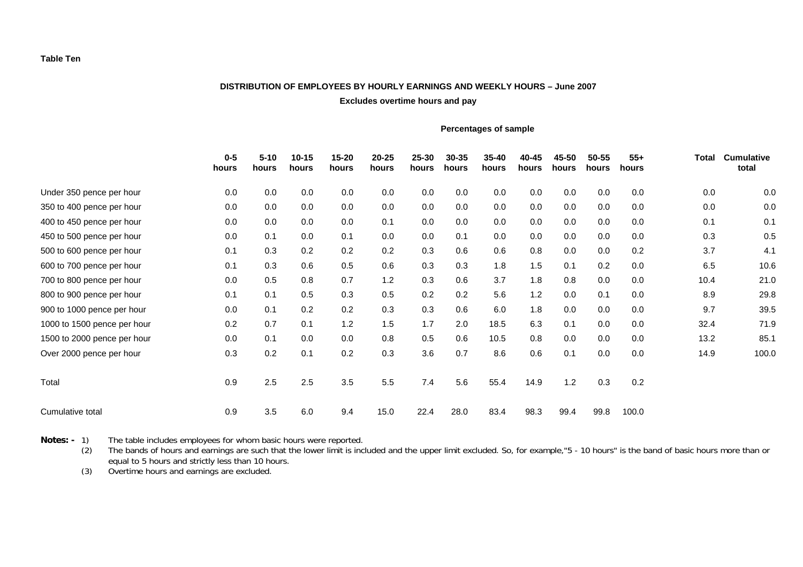#### **DISTRIBUTION OF EMPLOYEES BY HOURLY EARNINGS AND WEEKLY HOURS – June 2007**

**Excludes overtime hours and pay** 

#### **Percentages of sample**

|                             | $0-5$<br>hours | $5 - 10$<br>hours | $10 - 15$<br>hours | $15 - 20$<br>hours | $20 - 25$<br>hours | 25-30<br>hours | 30-35<br>hours | $35 - 40$<br>hours | 40-45<br>hours | 45-50<br>hours | 50-55<br>hours | $55+$<br>hours | <b>Total</b> | <b>Cumulative</b><br>total |
|-----------------------------|----------------|-------------------|--------------------|--------------------|--------------------|----------------|----------------|--------------------|----------------|----------------|----------------|----------------|--------------|----------------------------|
| Under 350 pence per hour    | 0.0            | 0.0               | 0.0                | 0.0                | 0.0                | 0.0            | 0.0            | 0.0                | 0.0            | 0.0            | 0.0            | 0.0            | 0.0          | 0.0                        |
| 350 to 400 pence per hour   | 0.0            | 0.0               | 0.0                | 0.0                | 0.0                | 0.0            | 0.0            | 0.0                | 0.0            | 0.0            | 0.0            | 0.0            | 0.0          | 0.0                        |
| 400 to 450 pence per hour   | 0.0            | 0.0               | 0.0                | 0.0                | 0.1                | 0.0            | 0.0            | 0.0                | 0.0            | 0.0            | 0.0            | 0.0            | 0.1          | 0.1                        |
| 450 to 500 pence per hour   | 0.0            | 0.1               | 0.0                | 0.1                | 0.0                | 0.0            | 0.1            | 0.0                | 0.0            | 0.0            | 0.0            | 0.0            | 0.3          | 0.5                        |
| 500 to 600 pence per hour   | 0.1            | 0.3               | 0.2                | 0.2                | 0.2                | 0.3            | 0.6            | 0.6                | 0.8            | 0.0            | 0.0            | 0.2            | 3.7          | 4.1                        |
| 600 to 700 pence per hour   | 0.1            | 0.3               | 0.6                | 0.5                | 0.6                | 0.3            | 0.3            | 1.8                | 1.5            | 0.1            | 0.2            | 0.0            | 6.5          | 10.6                       |
| 700 to 800 pence per hour   | 0.0            | 0.5               | 0.8                | 0.7                | 1.2                | 0.3            | 0.6            | 3.7                | 1.8            | 0.8            | 0.0            | 0.0            | 10.4         | 21.0                       |
| 800 to 900 pence per hour   | 0.1            | 0.1               | 0.5                | 0.3                | 0.5                | 0.2            | 0.2            | 5.6                | 1.2            | 0.0            | 0.1            | 0.0            | 8.9          | 29.8                       |
| 900 to 1000 pence per hour  | 0.0            | 0.1               | 0.2                | 0.2                | 0.3                | 0.3            | 0.6            | 6.0                | 1.8            | 0.0            | 0.0            | 0.0            | 9.7          | 39.5                       |
| 1000 to 1500 pence per hour | 0.2            | 0.7               | 0.1                | 1.2                | 1.5                | 1.7            | 2.0            | 18.5               | 6.3            | 0.1            | 0.0            | 0.0            | 32.4         | 71.9                       |
| 1500 to 2000 pence per hour | 0.0            | 0.1               | 0.0                | 0.0                | 0.8                | 0.5            | 0.6            | 10.5               | 0.8            | 0.0            | 0.0            | 0.0            | 13.2         | 85.1                       |
| Over 2000 pence per hour    | 0.3            | 0.2               | 0.1                | 0.2                | 0.3                | 3.6            | 0.7            | 8.6                | 0.6            | 0.1            | 0.0            | 0.0            | 14.9         | 100.0                      |
| Total                       | 0.9            | 2.5               | 2.5                | 3.5                | 5.5                | 7.4            | 5.6            | 55.4               | 14.9           | 1.2            | 0.3            | 0.2            |              |                            |
| Cumulative total            | 0.9            | 3.5               | 6.0                | 9.4                | 15.0               | 22.4           | 28.0           | 83.4               | 98.3           | 99.4           | 99.8           | 100.0          |              |                            |

**Notes: -** 1) The table includes employees for whom basic hours were reported.<br>(2) The bands of hours and earnings are such that the lower limit is incl

The bands of hours and earnings are such that the lower limit is included and the upper limit excluded. So, for example,"5 - 10 hours" is the band of basic hours more than or equal to 5 hours and strictly less than 10 hours.

(3) Overtime hours and earnings are excluded.

**Table Ten**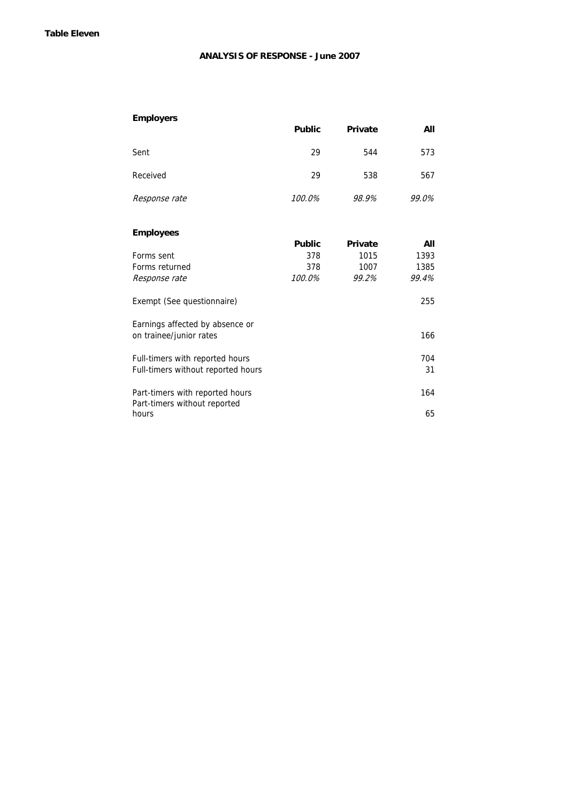#### **ANALYSIS OF RESPONSE - June 2007**

| <b>Employers</b>                                                |               |                |       |
|-----------------------------------------------------------------|---------------|----------------|-------|
|                                                                 | <b>Public</b> | Private        | All   |
| Sent                                                            | 29            | 544            | 573   |
| Received                                                        | 29            | 538            | 567   |
| Response rate                                                   | 100.0%        | 98.9%          | 99.0% |
| <b>Employees</b>                                                |               |                |       |
|                                                                 | <b>Public</b> | <b>Private</b> | All   |
| Forms sent                                                      | 378           | 1015           | 1393  |
| Forms returned                                                  | 378           | 1007           | 1385  |
| Response rate                                                   | 100.0%        | 99.2%          | 99.4% |
| Exempt (See questionnaire)                                      |               |                | 255   |
| Earnings affected by absence or                                 |               |                |       |
| on trainee/junior rates                                         |               |                | 166   |
| Full-timers with reported hours                                 |               |                | 704   |
| Full-timers without reported hours                              |               |                | 31    |
| Part-timers with reported hours<br>Part-timers without reported |               |                | 164   |
| hours                                                           |               |                | 65    |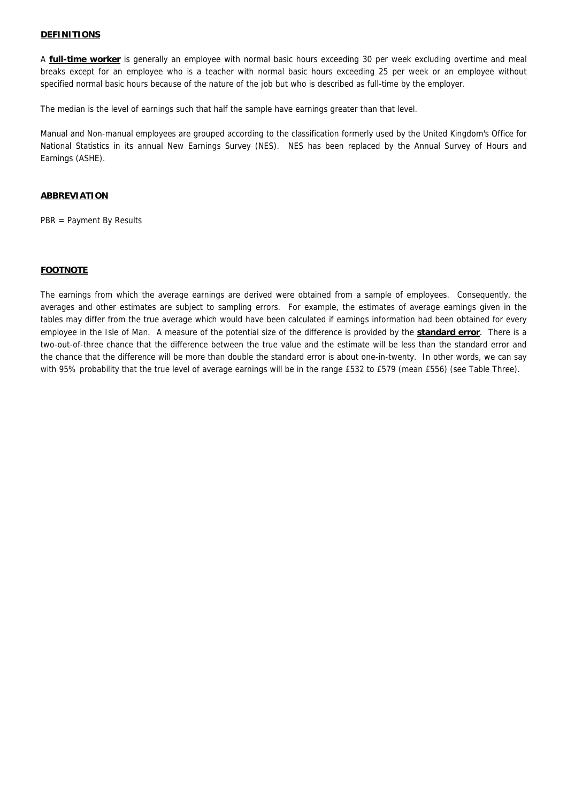#### **DEFINITIONS**

A **full-time worker** is generally an employee with normal basic hours exceeding 30 per week excluding overtime and meal breaks except for an employee who is a teacher with normal basic hours exceeding 25 per week or an employee without specified normal basic hours because of the nature of the job but who is described as full-time by the employer.

The median is the level of earnings such that half the sample have earnings greater than that level.

Manual and Non-manual employees are grouped according to the classification formerly used by the United Kingdom's Office for National Statistics in its annual New Earnings Survey (NES). NES has been replaced by the Annual Survey of Hours and Earnings (ASHE).

#### <sup>U</sup>**ABBREVIATION**

PBR = Payment By Results

#### <sup>U</sup>**FOOTNOTE**

The earnings from which the average earnings are derived were obtained from a sample of employees. Consequently, the averages and other estimates are subject to sampling errors. For example, the estimates of average earnings given in the tables may differ from the true average which would have been calculated if earnings information had been obtained for every employee in the Isle of Man. A measure of the potential size of the difference is provided by the **standard error**. There is a two-out-of-three chance that the difference between the true value and the estimate will be less than the standard error and the chance that the difference will be more than double the standard error is about one-in-twenty. In other words, we can say with 95% probability that the true level of average earnings will be in the range £532 to £579 (mean £556) (see Table Three).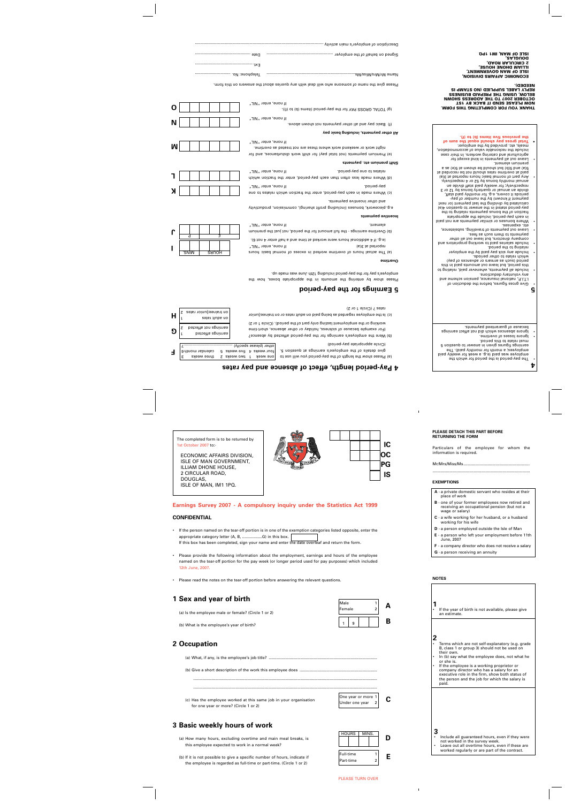The completed form is to be returned by 1st October 2007 to:-

ECONOMIC AFFAIRS DIVISION, ISLE OF MAN GOVERNMENT, ILLIAM DHONE HOUSE, 2 CIRCULAR ROAD, DOUGLAS, ISLE OF MAN, IM1 1PQ.





# **Earnings Survey 2007 - A compulsory inquiry under the Statistics Act 1999**

### **CONFIDENTIAL**

- If the person named on the tear-off portion is in one of the exemption categories listed opposite, enter the appropriate category letter (A, B, ..................G) in this box. If this box has been completed, sign your name and enter the date overleaf and return the form.
- Please provide the following information about the employment, earnings and hours of the employee named on the tear-off portion for the pay week (or longer period used for pay purposes) which included 12th June, 2007.

......................................................................................................................................................................

......................................................................................................................................................................

•Please read the notes on the tear-off portion before answering the relevant questions.

# **1 Sex and year of birth**

(a) Is the employee male or female? (Circle 1 or 2)

(b) What is the employee's year of birth?

# **2 Occupation**

(a) What, if any, is the employee's job title? ..................................................................................................

(b) Give a short description of the work this employee does ......................................................................

(c) Has the employee worked at this same job in your organisation for one year or more? (Circle 1 or 2)

| One year or more 1               |  |
|----------------------------------|--|
| Under one year<br>$\overline{2}$ |  |

 $1 \mid 9$ 

Male 1 Female 2

**A**

**B**

# **3 Basic weekly hours of work**

(a) How many hours, excluding overtime and main meal breaks, is this employee expected to work in a normal week?

(b) If it is not possible to give a specific number of hours, indicate if the employee is regarded as full-time or part-time. (Circle 1 or 2)



#### **PLEASE DETACH THIS PART BEFORE RETURNING THE FORM**

Particulars of the employee for whom the information is required.

Mr/Mrs/Miss/Ms............................................................

........................................................................................

#### **EXEMPTIONS**

- **A** a private domestic servant who resides at their place of work
- **B** one of your former employees now retired and receiving an occupational pension (but not a wage or salary)
- **C** a wife working for her husband, or a husband working for his wife
- **D** a person employed outside the Isle of Man
- **E** a person who left your employment before 11th June, 2007
- **F** a company director who does not receive a salary
- **G** a person receiving an annuity

### **NOTES**

|   | If the year of birth is not available, please give<br>an estimate.                                                                                                                                                                                                                                                                                                                     |
|---|----------------------------------------------------------------------------------------------------------------------------------------------------------------------------------------------------------------------------------------------------------------------------------------------------------------------------------------------------------------------------------------|
| 2 | Terms which are not self-explanatory (e.g. grade<br>B, class 1 or group 3) should not be used on<br>their own.<br>In (b) say what the employee does, not what he<br>or she is.<br>If the employee is a working proprietor or<br>company director who has a salary for an<br>executive role in the firm, show both status of<br>the person and the job for which the salary is<br>paid. |
| 3 | Include all guaranteed hours, even if they were<br>not worked in the survey week.<br>Leave out all overtime hours, even if these are<br>worked regularly or are part of the contract.                                                                                                                                                                                                  |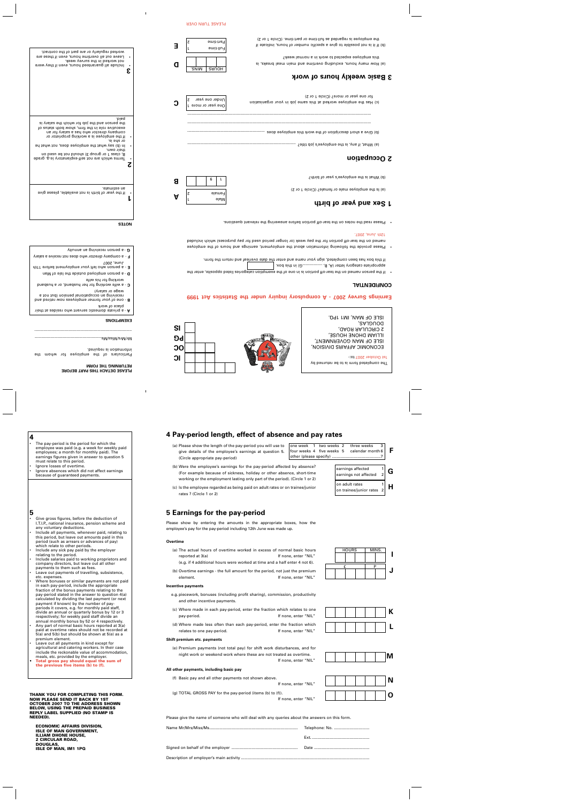- • The pay-period is the period for which the employee was paid (e.g. a week for weekly paid employees; a month for monthly paid). The earnings figures given in answer to question 5 must relate to this period. Ignore losses of overtime.
- •• Ignore absences which did not affect earnings because of guaranteed payments.

### **5**

**4**

- • Give gross figures, before the deduction of I.T.I.P., national insurance, pension scheme and any voluntary deductions.
- • Include all payments, whenever paid, relating to this period, but leave out amounts paid in this period (such as arrears or advances of pay) which relate to other periods.
- • Include any sick pay paid by the employer relating to the period.
- • Include salaries paid to working proprietors and company directors, but leave out all other payments to them such as fees.
- • Leave out payments of travelling, subsistence, etc. expenses.
- • Where bonuses or similar payments are not paid in each pay-period, include the appropriate fraction of the bonus payments relating to the pay-period stated in the answer to question 4(a) calculated by dividing the last payment (or next payment if known) by the number of payperiods it covers, e.g. for monthly paid staff, divide an annual or quarterly bonus by 12 or 3 respectively; for weekly paid staff divide an annual monthly bonus by 52 or 4 respectively.
- • Any part of normal basic hours reported at 3(a) paid at overtime rates should not be recorded at 5(a) and 5(b) but should be shown at 5(e) as a premium element.
- • Leave out all payments in kind except for agricultural and catering workers. In their case include the reckonable value of accommodation, meals, etc. provided by the employer.
- **• Total gross pay should equal the sum of the previous five items (b) to (f).**

#### **THANK YOU FOR COMPLETING THIS FORM. NOW PLEASE SEND IT BACK BY 1ST OCTOBER 2007 TO THE ADDRESS SHOWN BELOW, USING THE PREPAID BUSINESS REPLY LABEL SUPPLIED (NO STAMP IS NEEDED).**

**ECONOMIC AFFAIRS DIVISION, ISLE OF MAN GOVERNMENT, ILLIAM DHONE HOUSE, 2 CIRCULAR ROAD, DOUGLAS, ISLE OF MAN, IM1 1PQ**

# **4 Pay-period length, effect of absence and pay rates**

(a) Please show the length of the pay-period you will use to give details of the employee's earnings at question 5. (Circle appropriate pay-period)

 $\sqrt{ }$  one week  $\sqrt{ }$  1 two weeks 2 three weeks four weeks 4 five weeks 5 calendar month 6 other (please specify) ............................................7 **F**

- earnings affected  $\begin{vmatrix} 1 \\ 2 \end{vmatrix}$  **G H** on adult rates 1 on trainee/junior rates 2
- working or the employment lasting only part of the period). (Circle 1 or 2) (c) Is the employee regarded as being paid on adult rates or on trainee/junior rates ? (Circle 1 or 2)

(b) Were the employee's earnings for the pay-period affected by absence? (For example because of sickness, holiday or other absence, short-time

# **5 Earnings for the pay-period**

Please show by entering the amounts in the appropriate boxes, how the employee's pay for the pay-period including 12th June was made up.

#### **Overtime**

- (a) The actual hours of overtime worked in excess of normal basic hours reported at 3(a) The set of the set of the set of the If none, enter "NIL"
	- (e.g. if 4 additional hours were worked at time and a half enter 4 not 6).
- (b) Overtime earnings the full amount for the period, not just the premium element. If none, enter "NIL"

#### **Incentive payments**

- e.g. piecework, bonuses (including profit sharing), commission, productivity and other incentive payments.
- (c) Where made in each pay-period, enter the fraction which relates to one pay-period. The pay-period. The set of the set of the set of the set of the set of the set of the set of the set of the set of the set of the set of the set of the set of the set of the set of the set of the set of the set
- (d) Where made less often than each pay-period, enter the fraction which relates to one pay-period. The state of the state of the state of the state of the Indian state of the Indian S

#### **Shift premium etc. payments**

(e) Premium payments (not total pay) for shift work disturbances, and for night work or weekend work where these are not treated as overtime. If none, enter "NIL"

#### **All other payments, including basic pay**

(f) Basic pay and all other payments not shown above.

If none, enter "NIL"

(g) TOTAL GROSS PAY for the pay-period (items (b) to (f)).

If none, enter "NIL"



Please give the name of someone who will deal with any queries about the answers on this form.